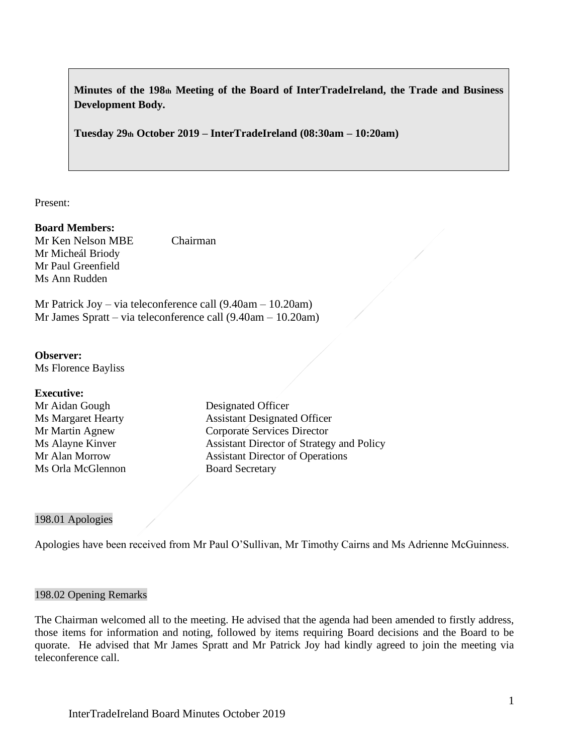**Minutes of the 198th Meeting of the Board of InterTradeIreland, the Trade and Business Development Body.**

**Tuesday 29th October 2019 – InterTradeIreland (08:30am – 10:20am)**

Present:

### **Board Members:**

Mr Ken Nelson MBE Chairman Mr Micheál Briody Mr Paul Greenfield Ms Ann Rudden

Mr Patrick Joy – via teleconference call (9.40am – 10.20am) Mr James Spratt – via teleconference call (9.40am – 10.20am)

**Observer:** Ms Florence Bayliss

#### **Executive:**

Mr Aidan Gough Designated Officer Ms Orla McGlennon Board Secretary

Ms Margaret Hearty Assistant Designated Officer Mr Martin Agnew Corporate Services Director Ms Alayne Kinver **Assistant Director of Strategy and Policy** Mr Alan Morrow Assistant Director of Operations

### 198.01 Apologies

Apologies have been received from Mr Paul O'Sullivan, Mr Timothy Cairns and Ms Adrienne McGuinness.

### 198.02 Opening Remarks

The Chairman welcomed all to the meeting. He advised that the agenda had been amended to firstly address, those items for information and noting, followed by items requiring Board decisions and the Board to be quorate. He advised that Mr James Spratt and Mr Patrick Joy had kindly agreed to join the meeting via teleconference call.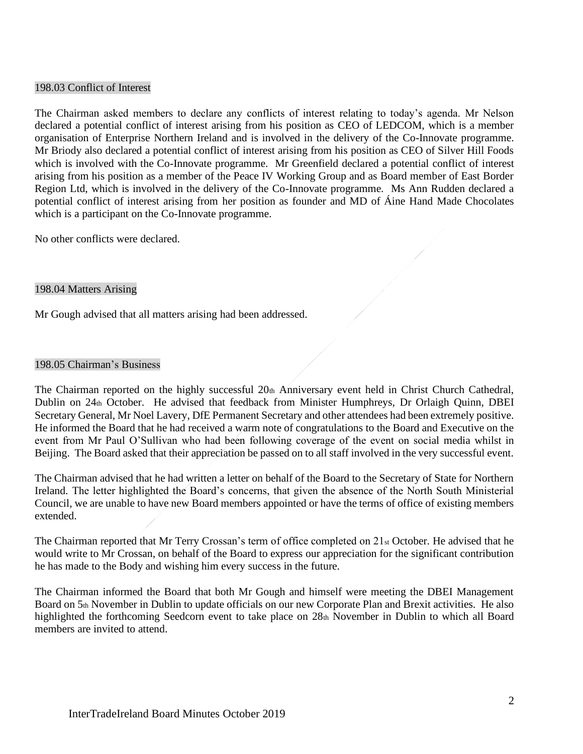### 198.03 Conflict of Interest

The Chairman asked members to declare any conflicts of interest relating to today's agenda. Mr Nelson declared a potential conflict of interest arising from his position as CEO of LEDCOM, which is a member organisation of Enterprise Northern Ireland and is involved in the delivery of the Co-Innovate programme. Mr Briody also declared a potential conflict of interest arising from his position as CEO of Silver Hill Foods which is involved with the Co-Innovate programme. Mr Greenfield declared a potential conflict of interest arising from his position as a member of the Peace IV Working Group and as Board member of East Border Region Ltd, which is involved in the delivery of the Co-Innovate programme. Ms Ann Rudden declared a potential conflict of interest arising from her position as founder and MD of Áine Hand Made Chocolates which is a participant on the Co-Innovate programme.

No other conflicts were declared.

### 198.04 Matters Arising

Mr Gough advised that all matters arising had been addressed.

#### 198.05 Chairman's Business

The Chairman reported on the highly successful 20th Anniversary event held in Christ Church Cathedral, Dublin on 24th October. He advised that feedback from Minister Humphreys, Dr Orlaigh Quinn, DBEI Secretary General, Mr Noel Lavery, DfE Permanent Secretary and other attendees had been extremely positive. He informed the Board that he had received a warm note of congratulations to the Board and Executive on the event from Mr Paul O'Sullivan who had been following coverage of the event on social media whilst in Beijing. The Board asked that their appreciation be passed on to all staff involved in the very successful event.

The Chairman advised that he had written a letter on behalf of the Board to the Secretary of State for Northern Ireland. The letter highlighted the Board's concerns, that given the absence of the North South Ministerial Council, we are unable to have new Board members appointed or have the terms of office of existing members extended.

The Chairman reported that Mr Terry Crossan's term of office completed on  $21_{st}$  October. He advised that he would write to Mr Crossan, on behalf of the Board to express our appreciation for the significant contribution he has made to the Body and wishing him every success in the future.

The Chairman informed the Board that both Mr Gough and himself were meeting the DBEI Management Board on 5th November in Dublin to update officials on our new Corporate Plan and Brexit activities. He also highlighted the forthcoming Seedcorn event to take place on 28th November in Dublin to which all Board members are invited to attend.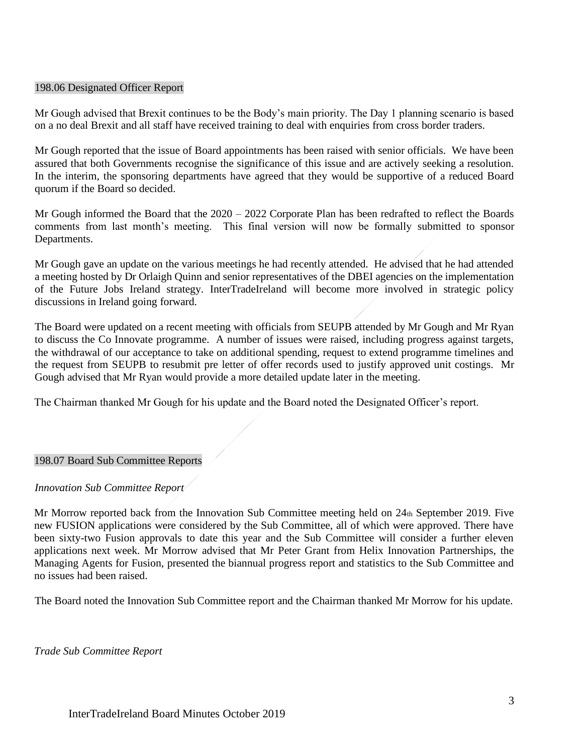### 198.06 Designated Officer Report

Mr Gough advised that Brexit continues to be the Body's main priority. The Day 1 planning scenario is based on a no deal Brexit and all staff have received training to deal with enquiries from cross border traders.

Mr Gough reported that the issue of Board appointments has been raised with senior officials. We have been assured that both Governments recognise the significance of this issue and are actively seeking a resolution. In the interim, the sponsoring departments have agreed that they would be supportive of a reduced Board quorum if the Board so decided.

Mr Gough informed the Board that the 2020 – 2022 Corporate Plan has been redrafted to reflect the Boards comments from last month's meeting. This final version will now be formally submitted to sponsor Departments.

Mr Gough gave an update on the various meetings he had recently attended. He advised that he had attended a meeting hosted by Dr Orlaigh Quinn and senior representatives of the DBEI agencies on the implementation of the Future Jobs Ireland strategy. InterTradeIreland will become more involved in strategic policy discussions in Ireland going forward.

The Board were updated on a recent meeting with officials from SEUPB attended by Mr Gough and Mr Ryan to discuss the Co Innovate programme. A number of issues were raised, including progress against targets, the withdrawal of our acceptance to take on additional spending, request to extend programme timelines and the request from SEUPB to resubmit pre letter of offer records used to justify approved unit costings. Mr Gough advised that Mr Ryan would provide a more detailed update later in the meeting.

The Chairman thanked Mr Gough for his update and the Board noted the Designated Officer's report.

### 198.07 Board Sub Committee Reports

### *Innovation Sub Committee Report*

Mr Morrow reported back from the Innovation Sub Committee meeting held on 24th September 2019. Five new FUSION applications were considered by the Sub Committee, all of which were approved. There have been sixty-two Fusion approvals to date this year and the Sub Committee will consider a further eleven applications next week. Mr Morrow advised that Mr Peter Grant from Helix Innovation Partnerships, the Managing Agents for Fusion, presented the biannual progress report and statistics to the Sub Committee and no issues had been raised.

The Board noted the Innovation Sub Committee report and the Chairman thanked Mr Morrow for his update.

*Trade Sub Committee Report*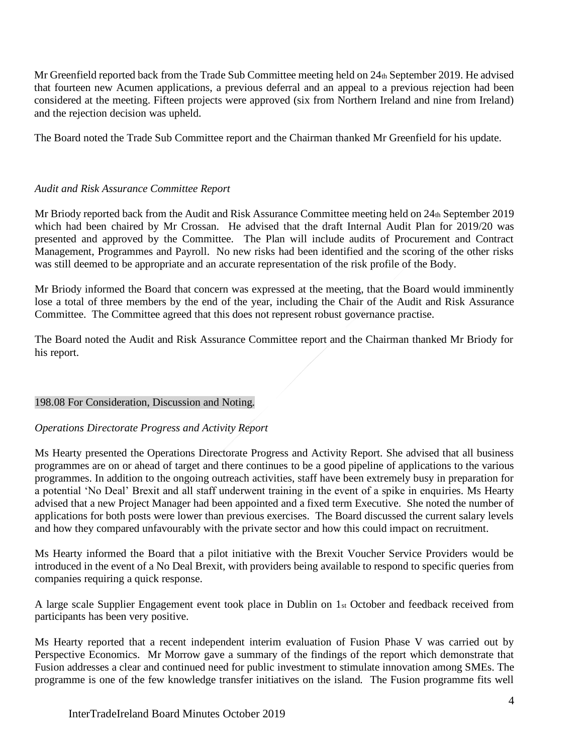Mr Greenfield reported back from the Trade Sub Committee meeting held on  $24<sub>th</sub>$  September 2019. He advised that fourteen new Acumen applications, a previous deferral and an appeal to a previous rejection had been considered at the meeting. Fifteen projects were approved (six from Northern Ireland and nine from Ireland) and the rejection decision was upheld.

The Board noted the Trade Sub Committee report and the Chairman thanked Mr Greenfield for his update.

### *Audit and Risk Assurance Committee Report*

Mr Briody reported back from the Audit and Risk Assurance Committee meeting held on 24th September 2019 which had been chaired by Mr Crossan. He advised that the draft Internal Audit Plan for 2019/20 was presented and approved by the Committee. The Plan will include audits of Procurement and Contract Management, Programmes and Payroll. No new risks had been identified and the scoring of the other risks was still deemed to be appropriate and an accurate representation of the risk profile of the Body.

Mr Briody informed the Board that concern was expressed at the meeting, that the Board would imminently lose a total of three members by the end of the year, including the Chair of the Audit and Risk Assurance Committee. The Committee agreed that this does not represent robust governance practise.

The Board noted the Audit and Risk Assurance Committee report and the Chairman thanked Mr Briody for his report.

### 198.08 For Consideration, Discussion and Noting.

## *Operations Directorate Progress and Activity Report*

Ms Hearty presented the Operations Directorate Progress and Activity Report. She advised that all business programmes are on or ahead of target and there continues to be a good pipeline of applications to the various programmes. In addition to the ongoing outreach activities, staff have been extremely busy in preparation for a potential 'No Deal' Brexit and all staff underwent training in the event of a spike in enquiries. Ms Hearty advised that a new Project Manager had been appointed and a fixed term Executive. She noted the number of applications for both posts were lower than previous exercises. The Board discussed the current salary levels and how they compared unfavourably with the private sector and how this could impact on recruitment.

Ms Hearty informed the Board that a pilot initiative with the Brexit Voucher Service Providers would be introduced in the event of a No Deal Brexit, with providers being available to respond to specific queries from companies requiring a quick response.

A large scale Supplier Engagement event took place in Dublin on 1st October and feedback received from participants has been very positive.

Ms Hearty reported that a recent independent interim evaluation of Fusion Phase V was carried out by Perspective Economics. Mr Morrow gave a summary of the findings of the report which demonstrate that Fusion addresses a clear and continued need for public investment to stimulate innovation among SMEs. The programme is one of the few knowledge transfer initiatives on the island. The Fusion programme fits well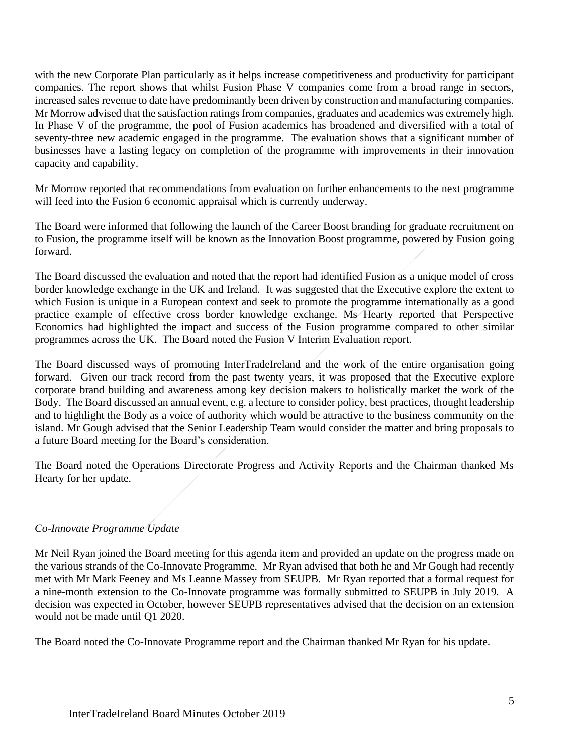with the new Corporate Plan particularly as it helps increase competitiveness and productivity for participant companies. The report shows that whilst Fusion Phase V companies come from a broad range in sectors, increased sales revenue to date have predominantly been driven by construction and manufacturing companies. Mr Morrow advised that the satisfaction ratings from companies, graduates and academics was extremely high. In Phase V of the programme, the pool of Fusion academics has broadened and diversified with a total of seventy-three new academic engaged in the programme. The evaluation shows that a significant number of businesses have a lasting legacy on completion of the programme with improvements in their innovation capacity and capability.

Mr Morrow reported that recommendations from evaluation on further enhancements to the next programme will feed into the Fusion 6 economic appraisal which is currently underway.

The Board were informed that following the launch of the Career Boost branding for graduate recruitment on to Fusion, the programme itself will be known as the Innovation Boost programme, powered by Fusion going forward.

The Board discussed the evaluation and noted that the report had identified Fusion as a unique model of cross border knowledge exchange in the UK and Ireland. It was suggested that the Executive explore the extent to which Fusion is unique in a European context and seek to promote the programme internationally as a good practice example of effective cross border knowledge exchange. Ms Hearty reported that Perspective Economics had highlighted the impact and success of the Fusion programme compared to other similar programmes across the UK. The Board noted the Fusion V Interim Evaluation report.

The Board discussed ways of promoting InterTradeIreland and the work of the entire organisation going forward. Given our track record from the past twenty years, it was proposed that the Executive explore corporate brand building and awareness among key decision makers to holistically market the work of the Body. The Board discussed an annual event, e.g. a lecture to consider policy, best practices, thought leadership and to highlight the Body as a voice of authority which would be attractive to the business community on the island. Mr Gough advised that the Senior Leadership Team would consider the matter and bring proposals to a future Board meeting for the Board's consideration.

The Board noted the Operations Directorate Progress and Activity Reports and the Chairman thanked Ms Hearty for her update.

# *Co-Innovate Programme Update*

Mr Neil Ryan joined the Board meeting for this agenda item and provided an update on the progress made on the various strands of the Co-Innovate Programme. Mr Ryan advised that both he and Mr Gough had recently met with Mr Mark Feeney and Ms Leanne Massey from SEUPB. Mr Ryan reported that a formal request for a nine-month extension to the Co-Innovate programme was formally submitted to SEUPB in July 2019. A decision was expected in October, however SEUPB representatives advised that the decision on an extension would not be made until Q1 2020.

The Board noted the Co-Innovate Programme report and the Chairman thanked Mr Ryan for his update.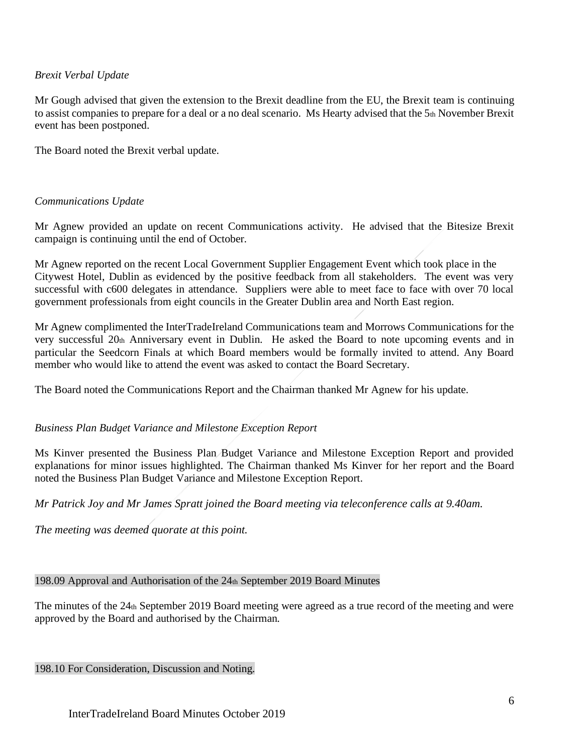## *Brexit Verbal Update*

Mr Gough advised that given the extension to the Brexit deadline from the EU, the Brexit team is continuing to assist companies to prepare for a deal or a no deal scenario. Ms Hearty advised that the  $5<sub>th</sub>$  November Brexit event has been postponed.

The Board noted the Brexit verbal update.

### *Communications Update*

Mr Agnew provided an update on recent Communications activity. He advised that the Bitesize Brexit campaign is continuing until the end of October.

Mr Agnew reported on the recent Local Government Supplier Engagement Event which took place in the Citywest Hotel, Dublin as evidenced by the positive feedback from all stakeholders. The event was very successful with c600 delegates in attendance. Suppliers were able to meet face to face with over 70 local government professionals from eight councils in the Greater Dublin area and North East region.

Mr Agnew complimented the InterTradeIreland Communications team and Morrows Communications for the very successful 20th Anniversary event in Dublin. He asked the Board to note upcoming events and in particular the Seedcorn Finals at which Board members would be formally invited to attend. Any Board member who would like to attend the event was asked to contact the Board Secretary.

The Board noted the Communications Report and the Chairman thanked Mr Agnew for his update.

### *Business Plan Budget Variance and Milestone Exception Report*

Ms Kinver presented the Business Plan Budget Variance and Milestone Exception Report and provided explanations for minor issues highlighted. The Chairman thanked Ms Kinver for her report and the Board noted the Business Plan Budget Variance and Milestone Exception Report.

*Mr Patrick Joy and Mr James Spratt joined the Board meeting via teleconference calls at 9.40am.*

*The meeting was deemed quorate at this point.*

198.09 Approval and Authorisation of the 24th September 2019 Board Minutes

The minutes of the 24th September 2019 Board meeting were agreed as a true record of the meeting and were approved by the Board and authorised by the Chairman.

198.10 For Consideration, Discussion and Noting.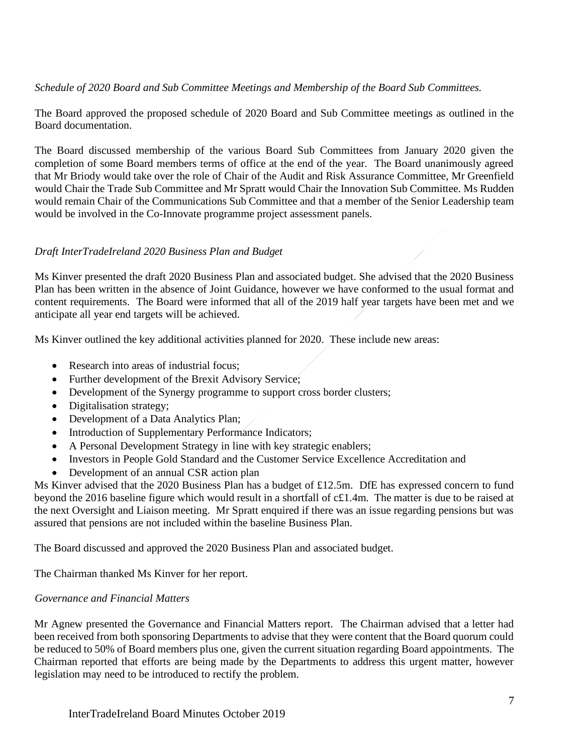*Schedule of 2020 Board and Sub Committee Meetings and Membership of the Board Sub Committees.*

The Board approved the proposed schedule of 2020 Board and Sub Committee meetings as outlined in the Board documentation.

The Board discussed membership of the various Board Sub Committees from January 2020 given the completion of some Board members terms of office at the end of the year. The Board unanimously agreed that Mr Briody would take over the role of Chair of the Audit and Risk Assurance Committee, Mr Greenfield would Chair the Trade Sub Committee and Mr Spratt would Chair the Innovation Sub Committee. Ms Rudden would remain Chair of the Communications Sub Committee and that a member of the Senior Leadership team would be involved in the Co-Innovate programme project assessment panels.

# *Draft InterTradeIreland 2020 Business Plan and Budget*

Ms Kinver presented the draft 2020 Business Plan and associated budget. She advised that the 2020 Business Plan has been written in the absence of Joint Guidance, however we have conformed to the usual format and content requirements. The Board were informed that all of the 2019 half year targets have been met and we anticipate all year end targets will be achieved.

Ms Kinver outlined the key additional activities planned for 2020. These include new areas:

- Research into areas of industrial focus:
- Further development of the Brexit Advisory Service;
- Development of the Synergy programme to support cross border clusters;
- Digitalisation strategy;
- Development of a Data Analytics Plan;
- Introduction of Supplementary Performance Indicators;
- A Personal Development Strategy in line with key strategic enablers;
- Investors in People Gold Standard and the Customer Service Excellence Accreditation and
- Development of an annual CSR action plan

Ms Kinver advised that the 2020 Business Plan has a budget of £12.5m. DfE has expressed concern to fund beyond the 2016 baseline figure which would result in a shortfall of c£1.4m. The matter is due to be raised at the next Oversight and Liaison meeting. Mr Spratt enquired if there was an issue regarding pensions but was assured that pensions are not included within the baseline Business Plan.

The Board discussed and approved the 2020 Business Plan and associated budget.

The Chairman thanked Ms Kinver for her report.

## *Governance and Financial Matters*

Mr Agnew presented the Governance and Financial Matters report. The Chairman advised that a letter had been received from both sponsoring Departments to advise that they were content that the Board quorum could be reduced to 50% of Board members plus one, given the current situation regarding Board appointments. The Chairman reported that efforts are being made by the Departments to address this urgent matter, however legislation may need to be introduced to rectify the problem.